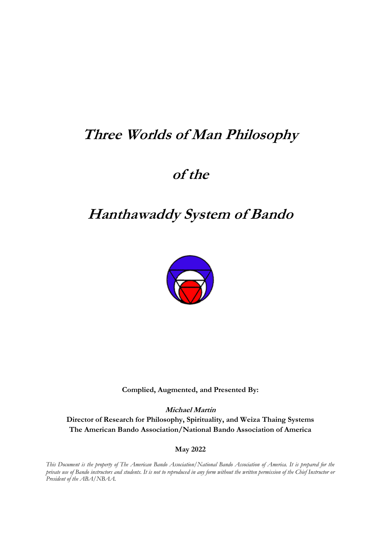# **Three Worlds of Man Philosophy**

# **of the**

# **Hanthawaddy System of Bando**



**Complied, Augmented, and Presented By:**

**Michael Martin Director of Research for Philosophy, Spirituality, and Weiza Thaing Systems The American Bando Association/National Bando Association of America**

**May 2022**

*This Document is the property of The American Bando Association/National Bando Association of America. It is prepared for the private use of Bando instructors and students. It is not to reproduced in any form without the written permission of the Chief Instructor or President of the ABA/NBAA.*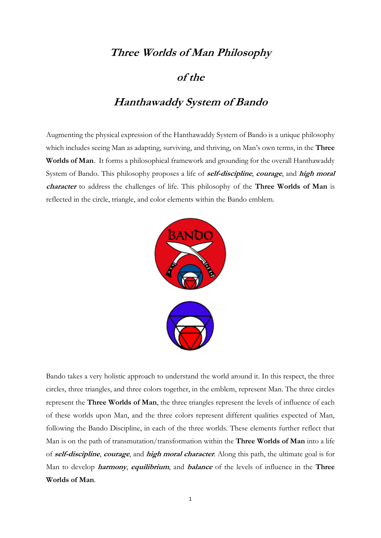# **Three Worlds of Man Philosophy**

# **of the**

# **Hanthawaddy System of Bando**

Augmenting the physical expression of the Hanthawaddy System of Bando is a unique philosophy which includes seeing Man as adapting, surviving, and thriving, on Man's own terms, in the **Three Worlds of Man**. It forms a philosophical framework and grounding for the overall Hanthawaddy System of Bando. This philosophy proposes a life of **self-discipline**, **courage**, and **high moral character** to address the challenges of life. This philosophy of the **Three Worlds of Man** is reflected in the circle, triangle, and color elements within the Bando emblem.



Bando takes a very holistic approach to understand the world around it. In this respect, the three circles, three triangles, and three colors together, in the emblem, represent Man. The three circles represent the **Three Worlds of Man**, the three triangles represent the levels of influence of each of these worlds upon Man, and the three colors represent different qualities expected of Man, following the Bando Discipline, in each of the three worlds. These elements further reflect that Man is on the path of transmutation/transformation within the **Three Worlds of Man** into a life of **self-discipline**, **courage**, and **high moral character**. Along this path, the ultimate goal is for Man to develop **harmony**, **equilibrium**, and **balance** of the levels of influence in the **Three Worlds of Man**.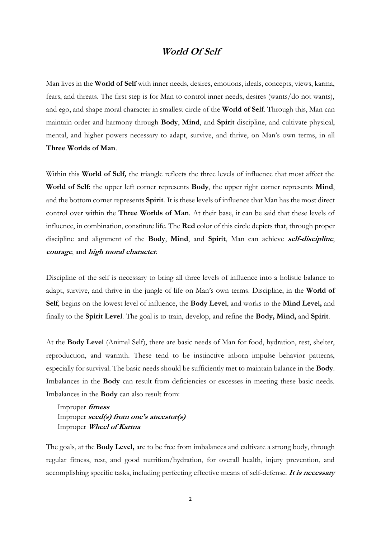## **World Of Self**

Man lives in the **World of Self** with inner needs, desires, emotions, ideals, concepts, views, karma, fears, and threats. The first step is for Man to control inner needs, desires (wants/do not wants), and ego, and shape moral character in smallest circle of the **World of Self**. Through this, Man can maintain order and harmony through **Body**, **Mind**, and **Spirit** discipline, and cultivate physical, mental, and higher powers necessary to adapt, survive, and thrive, on Man's own terms, in all **Three Worlds of Man**.

Within this **World of Self,** the triangle reflects the three levels of influence that most affect the **World of Self**: the upper left corner represents **Body**, the upper right corner represents **Mind**, and the bottom corner represents **Spirit**. It is these levels of influence that Man has the most direct control over within the **Three Worlds of Man**. At their base, it can be said that these levels of influence, in combination, constitute life. The **Red** color of this circle depicts that, through proper discipline and alignment of the **Body**, **Mind**, and **Spirit**, Man can achieve **self-discipline**, **courage**, and **high moral character**.

Discipline of the self is necessary to bring all three levels of influence into a holistic balance to adapt, survive, and thrive in the jungle of life on Man's own terms. Discipline, in the **World of Self**, begins on the lowest level of influence, the **Body Level**, and works to the **Mind Level,** and finally to the **Spirit Level**. The goal is to train, develop, and refine the **Body, Mind,** and **Spirit**.

At the **Body Level** (Animal Self), there are basic needs of Man for food, hydration, rest, shelter, reproduction, and warmth. These tend to be instinctive inborn impulse behavior patterns, especially for survival. The basic needs should be sufficiently met to maintain balance in the **Body**. Imbalances in the **Body** can result from deficiencies or excesses in meeting these basic needs. Imbalances in the **Body** can also result from:

Improper **fitness**  Improper **seed(s) from one's ancestor(s)** Improper **Wheel of Karma**

The goals, at the **Body Level,** are to be free from imbalances and cultivate a strong body, through regular fitness, rest, and good nutrition/hydration, for overall health, injury prevention, and accomplishing specific tasks, including perfecting effective means of self-defense. **It is necessary**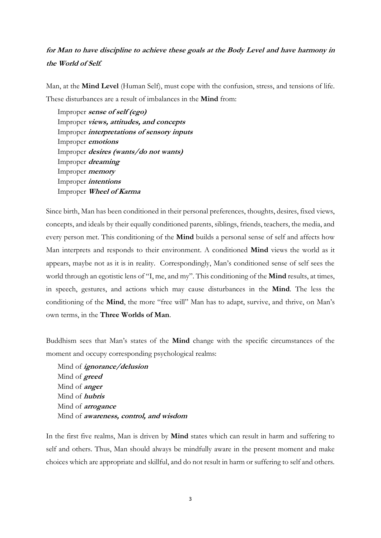# **for Man to have discipline to achieve these goals at the Body Level and have harmony in the World of Self***.*

Man, at the **Mind Level** (Human Self), must cope with the confusion, stress, and tensions of life. These disturbances are a result of imbalances in the **Mind** from:

Improper **sense of self (ego)** Improper **views, attitudes, and concepts** Improper **interpretations of sensory inputs** Improper **emotions** Improper **desires (wants/do not wants)** Improper **dreaming** Improper **memory** Improper **intentions** Improper **Wheel of Karma**

Since birth, Man has been conditioned in their personal preferences, thoughts, desires, fixed views, concepts, and ideals by their equally conditioned parents, siblings, friends, teachers, the media, and every person met. This conditioning of the **Mind** builds a personal sense of self and affects how Man interprets and responds to their environment. A conditioned **Mind** views the world as it appears, maybe not as it is in reality. Correspondingly, Man's conditioned sense of self sees the world through an egotistic lens of "I, me, and my". This conditioning of the **Mind** results, at times, in speech, gestures, and actions which may cause disturbances in the **Mind**. The less the conditioning of the **Mind**, the more "free will" Man has to adapt, survive, and thrive, on Man's own terms, in the **Three Worlds of Man**.

Buddhism sees that Man's states of the **Mind** change with the specific circumstances of the moment and occupy corresponding psychological realms:

Mind of **ignorance/delusion** Mind of **greed** Mind of **anger** Mind of **hubris** Mind of **arrogance** Mind of **awareness, control, and wisdom**

In the first five realms, Man is driven by **Mind** states which can result in harm and suffering to self and others. Thus, Man should always be mindfully aware in the present moment and make choices which are appropriate and skillful, and do not result in harm or suffering to self and others.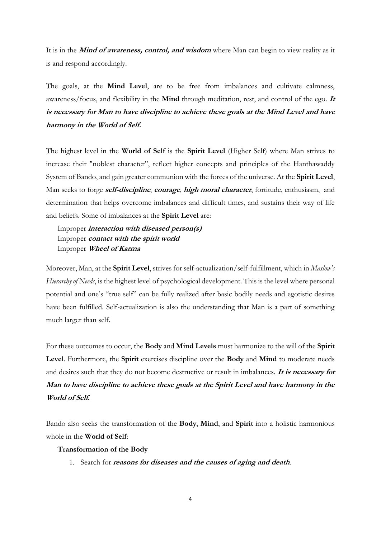It is in the **Mind of awareness, control, and wisdom** where Man can begin to view reality as it is and respond accordingly.

The goals, at the **Mind Level**, are to be free from imbalances and cultivate calmness, awareness/focus, and flexibility in the **Mind** through meditation, rest, and control of the ego. **It is necessary for Man to have discipline to achieve these goals at the Mind Level and have harmony in the World of Self.**

The highest level in the **World of Self** is the **Spirit Level** (Higher Self) where Man strives to increase their "noblest character", reflect higher concepts and principles of the Hanthawaddy System of Bando, and gain greater communion with the forces of the universe. At the **Spirit Level**, Man seeks to forge **self-discipline**, **courage**, **high moral character**, fortitude, [enthusiasm,](https://dictionary.cambridge.org/dictionary/english/enthusiasm) and determination that helps overcome imbalances and difficult times, and sustains their way of life and beliefs. Some of imbalances at the **Spirit Level** are:

Improper **interaction with diseased person(s)** Improper **contact with the spirit world** Improper **Wheel of Karma**

Moreover, Man, at the **Spirit Level**, strives for self-actualization/self-fulfillment, which in *[Maslow's](https://en.wikipedia.org/wiki/Maslow%27s_hierarchy_of_needs)  [Hierarchy of Needs](https://en.wikipedia.org/wiki/Maslow%27s_hierarchy_of_needs)*, is the highest level of psychological development. This is the level where personal potential and one's "true self" can be fully realized after basic bodily needs and egotistic desires have been fulfilled. Self-actualization is also the understanding that Man is a part of something much larger than self.

For these outcomes to occur, the **Body** and **Mind Levels** must harmonize to the will of the **Spirit Level**. Furthermore, the **Spirit** exercises discipline over the **Body** and **Mind** to moderate needs and desires such that they do not become destructive or result in imbalances. **It is necessary for Man to have discipline to achieve these goals at the Spirit Level and have harmony in the World of Self.**

Bando also seeks the transformation of the **Body**, **Mind**, and **Spirit** into a holistic harmonious whole in the **World of Self**:

#### **Transformation of the Body**

1. Search for **reasons for diseases and the causes of aging and death**.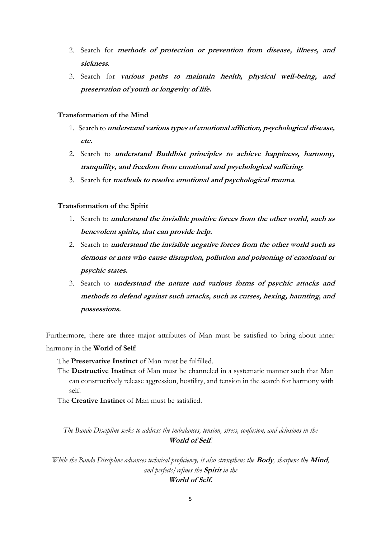- 2. Search for **methods of protection or prevention from disease, illness, and sickness**.
- 3. Search for **various paths to maintain health, physical well-being, and preservation of youth or longevity of life.**

#### **Transformation of the Mind**

- 1. Search to **understand various types of emotional affliction, psychological disease, etc.**
- 2. Search to **understand Buddhist principles to achieve happiness, harmony, tranquility, and freedom from emotional and psychological suffering**.
- 3. Search for **methods to resolve emotional and psychological trauma**.

#### **Transformation of the Spirit**

- 1. Search to **understand the invisible positive forces from the other world, such as benevolent spirits, that can provide help.**
- 2. Search to **understand the invisible negative forces from the other world such as demons or nats who cause disruption, pollution and poisoning of emotional or psychic states.**
- 3. Search to **understand the nature and various forms of psychic attacks and methods to defend against such attacks, such as curses, hexing, haunting, and possessions.**

Furthermore, there are three major attributes of Man must be satisfied to bring about inner harmony in the **World of Self**:

The **Preservative Instinct** of Man must be fulfilled.

The **Destructive Instinct** of Man must be channeled in a systematic manner such that Man can constructively release aggression, hostility, and tension in the search for harmony with self.

The **Creative Instinct** of Man must be satisfied.

*The Bando Discipline seeks to address the imbalances, tension, stress, confusion, and delusions in the*  **World of Self***.* 

*While the Bando Discipline advances technical proficiency, it also strengthens the* **Body***, sharpens the* **Mind***, and perfects/refines the* **Spirit** *in the* 

#### **World of Self.**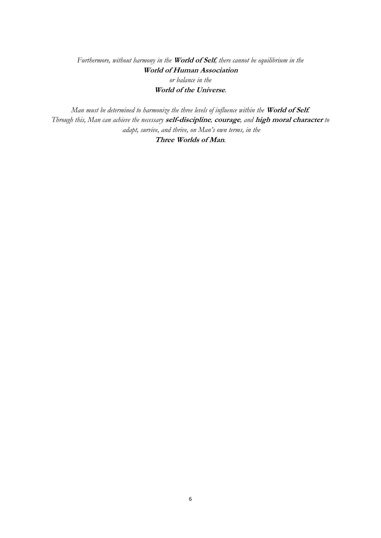*Furthermore, without harmony in the* **World of Self***, there cannot be equilibrium in the*  **World of Human Association**  *or balance in the*  **World of the Universe***.*

*Man must be determined to harmonize the three levels of influence within the* **World of Self***. Through this, Man can achieve the necessary* **self-discipline***,* **courage***, and* **high moral character** *to adapt, survive, and thrive, on Man's own terms, in the*  **Three Worlds of Man***.*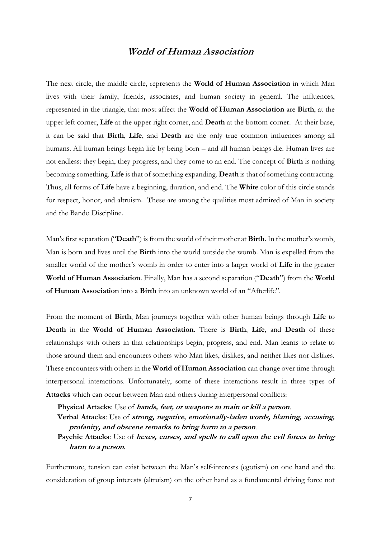## **World of Human Association**

The next circle, the middle circle, represents the **World of Human Association** in which Man lives with their family, friends, associates, and human society in general. The influences, represented in the triangle, that most affect the **World of Human Association** are **Birth**, at the upper left corner, **Life** at the upper right corner, and **Death** at the bottom corner. At their base, it can be said that **Birth**, **Life**, and **Death** are the only true common influences among all humans. All human beings begin life by being born – and all human beings die. Human lives are not endless: they begin, they progress, and they come to an end. The concept of **Birth** is nothing becoming something. **Life** is that of something expanding. **Death** is that of something contracting. Thus, all forms of **Life** have a beginning, duration, and end. The **White** color of this circle stands for respect, honor, and altruism. These are among the qualities most admired of Man in society and the Bando Discipline.

Man's first separation ("**Death**") is from the world of their mother at **Birth**. In the mother's womb, Man is born and lives until the **Birth** into the world outside the womb. Man is expelled from the smaller world of the mother's womb in order to enter into a larger world of **Life** in the greater **World of Human Association**. Finally, Man has a second separation ("**Death**") from the **World of Human Association** into a **Birth** into an unknown world of an "Afterlife".

From the moment of **Birth**, Man journeys together with other human beings through **Life** to **Death** in the **World of Human Association**. There is **Birth**, **Life**, and **Death** of these relationships with others in that relationships begin, progress, and end. Man learns to relate to those around them and encounters others who Man likes, dislikes, and neither likes nor dislikes. These encounters with others in the **World of Human Association** can change over time through interpersonal interactions. Unfortunately, some of these interactions result in three types of **Attacks** which can occur between Man and others during interpersonal conflicts:

**Physical Attacks**: Use of **hands, feet, or weapons to main or kill a person**. **Verbal Attacks**: Use of **strong, negative, emotionally-laden words, blaming, accusing, profanity, and obscene remarks to bring harm to a person**. **Psychic Attacks**: Use of **hexes, curses, and spells to call upon the evil forces to bring harm to a person**.

Furthermore, tension can exist between the Man's self-interests (egotism) on one hand and the consideration of group interests (altruism) on the other hand as a fundamental driving force not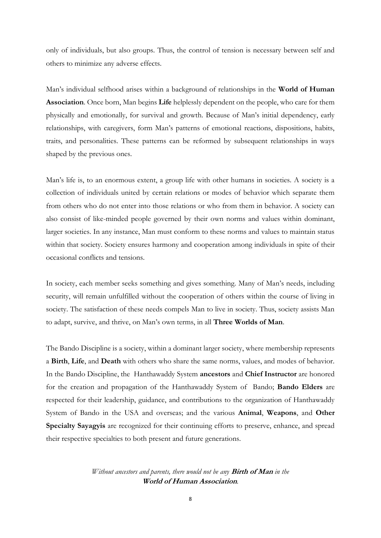only of individuals, but also groups. Thus, the control of tension is necessary between self and others to minimize any adverse effects.

Man's individual selfhood arises within a background of relationships in the **World of Human Association**. Once born, Man begins **Life** helplessly dependent on the people, who care for them physically and emotionally, for survival and growth. Because of Man's initial dependency, early relationships, with caregivers, form Man's patterns of emotional reactions, dispositions, habits, traits, and personalities. These patterns can be reformed by subsequent relationships in ways shaped by the previous ones.

Man's life is, to an enormous extent, a group life with other humans in societies. A society is a collection of individuals united by certain relations or modes of behavior which separate them from others who do not enter into those relations or who from them in behavior. A society can also consist of like-minded people governed by their own norms and values within dominant, larger societies. In any instance, Man must conform to these norms and values to maintain status within that society. Society ensures harmony and cooperation among individuals in spite of their occasional conflicts and tensions.

In society, each member seeks something and gives something. Many of Man's needs, including security, will remain unfulfilled without the cooperation of others within the course of living in society. The satisfaction of these needs compels Man to live in society. Thus, society assists Man to adapt, survive, and thrive, on Man's own terms, in all **Three Worlds of Man**.

The Bando Discipline is a society, within a dominant larger society, where membership represents a **Birth**, **Life**, and **Death** with others who share the same norms, values, and modes of behavior. In the Bando Discipline, the Hanthawaddy System **ancestors** and **Chief Instructor** are honored for the creation and propagation of the Hanthawaddy System of Bando; **Bando Elders** are respected for their leadership, guidance, and contributions to the organization of Hanthawaddy System of Bando in the USA and overseas; and the various **Animal**, **Weapons**, and **Other Specialty Sayagyis** are recognized for their continuing efforts to preserve, enhance, and spread their respective specialties to both present and future generations.

> *Without ancestors and parents, there would not be any* **Birth of Man** *in the*  **World of Human Association***.*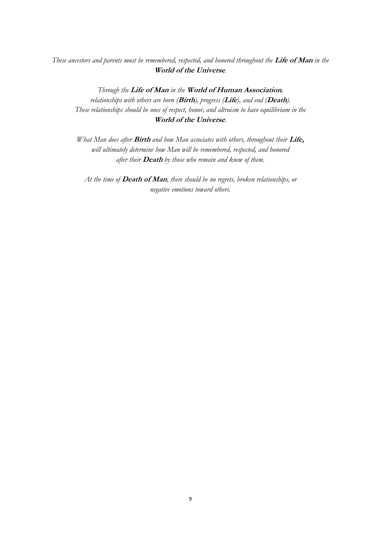### *These ancestors and parents must be remembered, respected, and honored throughout the* **Life of Man** *in the* **World of the Universe***.*

*Through the* **Life of Man** *in the* **World of Human Association***, relationships with others are born (***Birth***), progress (***Life***), and end (***Death***). These relationships should be ones of respect, honor, and altruism to have equilibrium in the* **World of the Universe***.*

*What Man does after* **Birth** *and how Man associates with others, throughout their* **Life,** *will ultimately determine how Man will be remembered, respected, and honored after their* **Death** *by those who remain and knew of them.* 

*At the time of* **Death of Man***, there should be no regrets, broken relationships, or negative emotions toward others.*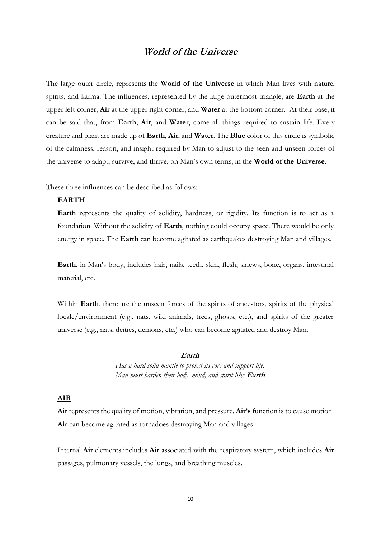### **World of the Universe**

The large outer circle, represents the **World of the Universe** in which Man lives with nature, spirits, and karma. The influences, represented by the large outermost triangle, are **Earth** at the upper left corner, **Air** at the upper right corner, and **Water** at the bottom corner. At their base, it can be said that, from **Earth**, **Air**, and **Water**, come all things required to sustain life. Every creature and plant are made up of **Earth**, **Air**, and **Water**. The **Blue** color of this circle is symbolic of the calmness, reason, and insight required by Man to adjust to the seen and unseen forces of the universe to adapt, survive, and thrive, on Man's own terms, in the **World of the Universe**.

These three influences can be described as follows:

#### **EARTH**

**Earth** represents the quality of solidity, hardness, or rigidity. Its function is to act as a foundation. Without the solidity of **Earth**, nothing could occupy space. There would be only energy in space. The **Earth** can become agitated as earthquakes destroying Man and villages.

**Earth**, in Man's body, includes hair, nails, teeth, skin, flesh, sinews, bone, organs, intestinal material, etc.

Within **Earth**, there are the unseen forces of the spirits of ancestors, spirits of the physical locale/environment (e.g., nats, wild animals, trees, ghosts, etc.), and spirits of the greater universe (e.g., nats, deities, demons, etc.) who can become agitated and destroy Man.

#### **Earth**

*Has a hard solid mantle to protect its core and support life. Man must harden their body, mind, and spirit like* **Earth***.*

#### **AIR**

**Air** represents the quality of motion, vibration, and pressure. **Air's** function is to cause motion. **Air** can become agitated as tornadoes destroying Man and villages.

Internal **Air** elements includes **Air** associated with the respiratory system, which includes **Air** passages, pulmonary vessels, the lungs, and breathing muscles.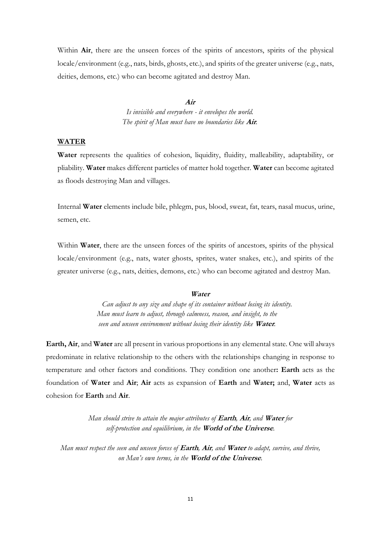Within **Air**, there are the unseen forces of the spirits of ancestors, spirits of the physical locale/environment (e.g., nats, birds, ghosts, etc.), and spirits of the greater universe (e.g., nats, deities, demons, etc.) who can become agitated and destroy Man.

#### **Air**

*Is invisible and everywhere - it envelopes the world. The spirit of Man must have no boundaries like* **Air***.*

#### **WATER**

Water represents the qualities of cohesion, liquidity, fluidity, malleability, adaptability, or pliability. **Water** makes different particles of matter hold together. **Water** can become agitated as floods destroying Man and villages.

Internal **Water** elements include bile, phlegm, pus, blood, sweat, fat, tears, nasal mucus, urine, semen, etc.

Within **Water**, there are the unseen forces of the spirits of ancestors, spirits of the physical locale/environment (e.g., nats, water ghosts, sprites, water snakes, etc.), and spirits of the greater universe (e.g., nats, deities, demons, etc.) who can become agitated and destroy Man.

#### **Water**

*Can adjust to any size and shape of its container without losing its identity. Man must learn to adjust, through calmness, reason, and insight, to the seen and unseen environment without losing their identity like* **Water***.*

**Earth, Air**, and **Water** are all present in various proportions in any elemental state. One will always predominate in relative relationship to the others with the relationships changing in response to temperature and other factors and conditions. They condition one another**: Earth** acts as the foundation of **Water** and **Air**; **Air** acts as expansion of **Earth** and **Water;** and, **Water** acts as cohesion for **Earth** and **Air**.

> *Man should strive to attain the major attributes of* **Earth***,* **Air***, and* **Water** *for self-protection and equilibrium, in the* **World of the Universe***.*

*Man must respect the seen and unseen forces of* **Earth***,* **Air***, and* **Water** *to adapt, survive, and thrive, on Man's own terms, in the* **World of the Universe***.*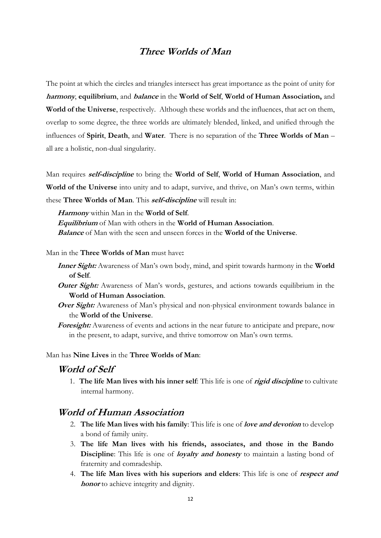# **Three Worlds of Man**

The point at which the circles and triangles intersect has great importance as the point of unity for **harmony**, **equilibrium**, and **balance** in the **World of Self**, **World of Human Association,** and **World of the Universe**, respectively. Although these worlds and the influences, that act on them, overlap to some degree, the three worlds are ultimately blended, linked, and unified through the influences of **Spirit**, **Death**, and **Water**. There is no separation of the **Three Worlds of Man** – all are a holistic, non-dual singularity.

Man requires **self-discipline** to bring the **World of Self**, **World of Human Association**, and **World of the Universe** into unity and to adapt, survive, and thrive, on Man's own terms, within these **Three Worlds of Man**. This **self-discipline** will result in:

**Harmony** within Man in the **World of Self**.

**Equilibrium** of Man with others in the **World of Human Association**.

**Balance** of Man with the seen and unseen forces in the **World of the Universe**.

Man in the **Three Worlds of Man** must have**:**

- **Inner Sight:** Awareness of Man's own body, mind, and spirit towards harmony in the **World of Self**.
- **Outer Sight:** Awareness of Man's words, gestures, and actions towards equilibrium in the **World of Human Association**.
- **Over Sight:** Awareness of Man's physical and non-physical environment towards balance in the **World of the Universe**.
- **Foresight:** Awareness of events and actions in the near future to anticipate and prepare, now in the present, to adapt, survive, and thrive tomorrow on Man's own terms.

#### Man has **Nine Lives** in the **Three Worlds of Man**:

### **World of Self**

1. **The life Man lives with his inner self**: This life is one of **rigid discipline** to cultivate internal harmony.

### **World of Human Association**

- 2. **The life Man lives with his family**: This life is one of **love and devotion** to develop a bond of family unity.
- 3. **The life Man lives with his friends, associates, and those in the Bando Discipline**: This life is one of *loyalty and honesty* to maintain a lasting bond of fraternity and comradeship.
- 4. **The life Man lives with his superiors and elders**: This life is one of **respect and honor** to achieve integrity and dignity.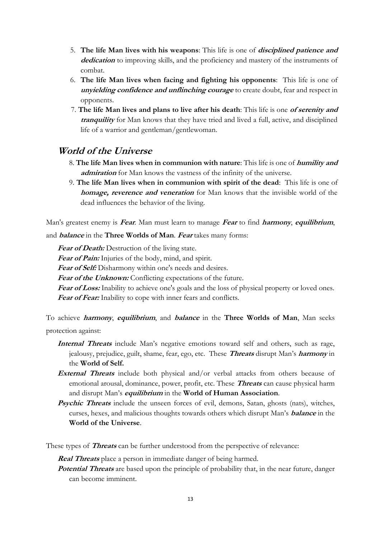- 5. **The life Man lives with his weapons**: This life is one of **disciplined patience and dedication** to improving skills, and the proficiency and mastery of the instruments of combat.
- 6. **The life Man lives when facing and fighting his opponents**: This life is one of **unyielding confidence and unflinching courage** to create doubt, fear and respect in opponents.
- 7. **The life Man lives and plans to live after his death**: This life is one **of serenity and tranquility** for Man knows that they have tried and lived a full, active, and disciplined life of a warrior and gentleman/gentlewoman.

## **World of the Universe**

- 8. **The life Man lives when in communion with nature**: This life is one of **humility and admiration** for Man knows the vastness of the infinity of the universe.
- 9. **The life Man lives when in communion with spirit of the dead**: This life is one of **homage, reverence and veneration** for Man knows that the invisible world of the dead influences the behavior of the living.

Man's greatest enemy is **Fear**. Man must learn to manage **Fear** to find **harmony**, **equilibrium**,

and **balance** in the **Three Worlds of Man**. **Fear** takes many forms:

Fear of Death: Destruction of the living state.

Fear of Pain: Injuries of the body, mind, and spirit.

Fear of Self: Disharmony within one's needs and desires.

**Fear of the Unknown:** Conflicting expectations of the future.

Fear of Loss: Inability to achieve one's goals and the loss of physical property or loved ones. Fear of Fear: Inability to cope with inner fears and conflicts.

To achieve **harmony**, **equilibrium**, and **balance** in the **Three Worlds of Man**, Man seeks protection against:

- **Internal Threats** include Man's negative emotions toward self and others, such as rage, jealousy, prejudice, guilt, shame, fear, ego, etc. These **Threats** disrupt Man's **harmony** in the **World of Self.**
- **External Threats** include both physical and/or verbal attacks from others because of emotional arousal, dominance, power, profit, etc. These **Threats** can cause physical harm and disrupt Man's **equilibrium** in the **World of Human Association**.
- **Psychic Threats** include the unseen forces of evil, demons, Satan, ghosts (nats), witches, curses, hexes, and malicious thoughts towards others which disrupt Man's **balance** in the **World of the Universe**.

These types of **Threats** can be further understood from the perspective of relevance:

**Real Threats** place a person in immediate danger of being harmed.

**Potential Threats** are based upon the principle of probability that, in the near future, danger can become imminent.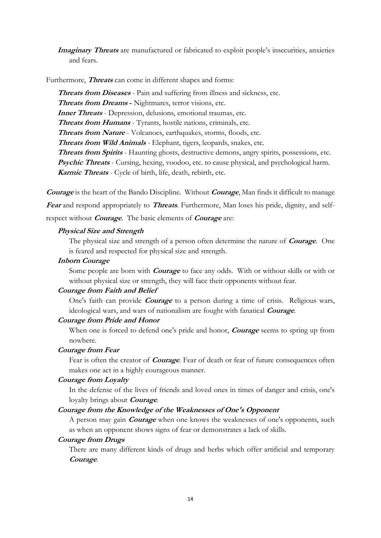**Imaginary Threats** are manufactured or fabricated to exploit people's insecurities, anxieties and fears.

Furthermore, **Threats** can come in different shapes and forms:

**Threats from Diseases** - Pain and suffering from illness and sickness, etc. **Threats from Dreams -** Nightmares, terror visions, etc. **Inner Threats** - Depression, delusions, emotional traumas, etc. **Threats from Humans** - Tyrants, hostile nations, criminals, etc. **Threats from Nature** - Volcanoes, earthquakes, storms, floods, etc. **Threats from Wild Animals** - Elephant, tigers, leopards, snakes, etc. **Threats from Spirits** - Haunting ghosts, destructive demons, angry spirits, possessions, etc. **Psychic Threats** - Cursing, hexing, voodoo, etc. to cause physical, and psychological harm. **Karmic Threats** - Cycle of birth, life, death, rebirth, etc.

**Courage** is the heart of the Bando Discipline. Without **Courage**, Man finds it difficult to manage **Fear** and respond appropriately to **Threats**. Furthermore, Man loses his pride, dignity, and selfrespect without **Courage**. The basic elements of **Courage** are:

#### **Physical Size and Strength**

The physical size and strength of a person often determine the nature of **Courage**. One is feared and respected for physical size and strength.

#### **Inborn Courage**

Some people are born with **Courage** to face any odds. With or without skills or with or without physical size or strength, they will face their opponents without fear.

#### **Courage from Faith and Belief**

One's faith can provide **Courage** to a person during a time of crisis. Religious wars, ideological wars, and wars of nationalism are fought with fanatical **Courage**.

#### **Courage from Pride and Honor**

When one is forced to defend one's pride and honor, **Courage** seems to spring up from nowhere.

#### **Courage from Fear**

Fear is often the creator of **Courage**. Fear of death or fear of future consequences often makes one act in a highly courageous manner.

#### **Courage from Loyalty**

In the defense of the lives of friends and loved ones in times of danger and crisis, one's loyalty brings about **Courage**.

#### **Courage from the Knowledge of the Weaknesses of One's Opponent**

A person may gain **Courage** when one knows the weaknesses of one's opponents, such as when an opponent shows signs of fear or demonstrates a lack of skills.

#### **Courage from Drugs**

There are many different kinds of drugs and herbs which offer artificial and temporary **Courage**.